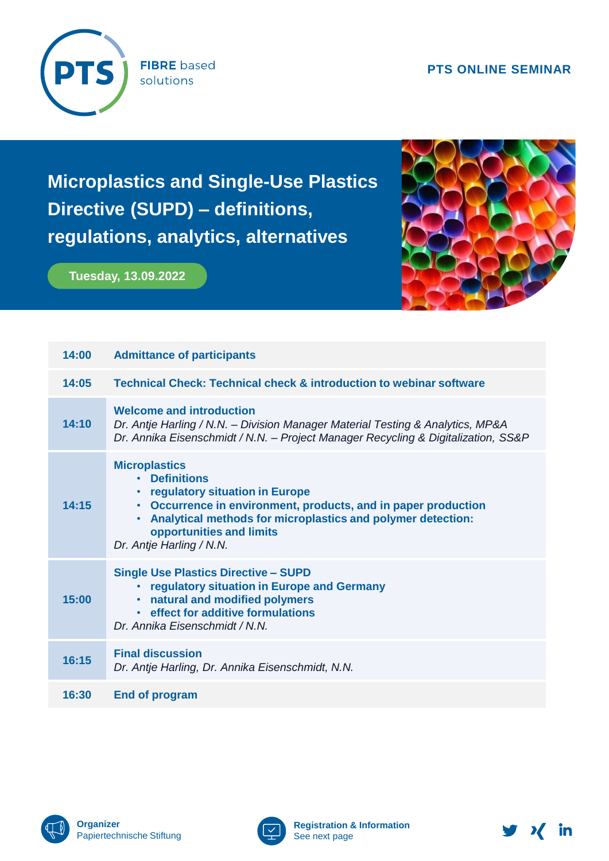## **PTS ONLINE SEMINAR**



**FIBRE** based solutions

**Microplastics and Single-Use Plastics Directive (SUPD) – definitions, regulations, analytics, alternatives**

**Tuesday, 13.09.2022**



| 14:00 | <b>Admittance of participants</b>                                                                                                                                                                                                                                                                 |  |
|-------|---------------------------------------------------------------------------------------------------------------------------------------------------------------------------------------------------------------------------------------------------------------------------------------------------|--|
| 14:05 | <b>Technical Check: Technical check &amp; introduction to webinar software</b>                                                                                                                                                                                                                    |  |
| 14:10 | <b>Welcome and introduction</b><br>Dr. Antje Harling / N.N. - Division Manager Material Testing & Analytics, MP&A<br>Dr. Annika Eisenschmidt / N.N. - Project Manager Recycling & Digitalization, SS&P                                                                                            |  |
| 14:15 | <b>Microplastics</b><br><b>Definitions</b><br>$\bullet$<br>regulatory situation in Europe<br>$\bullet$<br>• Occurrence in environment, products, and in paper production<br>• Analytical methods for microplastics and polymer detection:<br>opportunities and limits<br>Dr. Antje Harling / N.N. |  |
| 15:00 | <b>Single Use Plastics Directive - SUPD</b><br>regulatory situation in Europe and Germany<br>natural and modified polymers<br>• effect for additive formulations<br>Dr. Annika Eisenschmidt / N.N.                                                                                                |  |
| 16:15 | <b>Final discussion</b><br>Dr. Antje Harling, Dr. Annika Eisenschmidt, N.N.                                                                                                                                                                                                                       |  |
| 16:30 | <b>End of program</b>                                                                                                                                                                                                                                                                             |  |